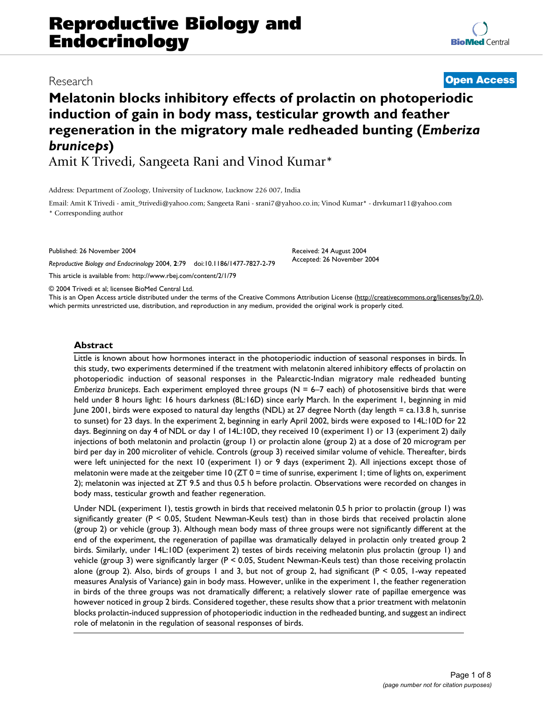# **Melatonin blocks inhibitory effects of prolactin on photoperiodic induction of gain in body mass, testicular growth and feather regeneration in the migratory male redheaded bunting (***Emberiza bruniceps***)**

Amit K Trivedi, Sangeeta Rani and Vinod Kumar\*

Address: Department of Zoology, University of Lucknow, Lucknow 226 007, India

Email: Amit K Trivedi - amit\_9trivedi@yahoo.com; Sangeeta Rani - srani7@yahoo.co.in; Vinod Kumar\* - drvkumar11@yahoo.com \* Corresponding author

Published: 26 November 2004

*Reproductive Biology and Endocrinology* 2004, **2**:79 doi:10.1186/1477-7827-2-79

[This article is available from: http://www.rbej.com/content/2/1/79](http://www.rbej.com/content/2/1/79)

© 2004 Trivedi et al; licensee BioMed Central Ltd.

This is an Open Access article distributed under the terms of the Creative Commons Attribution License [\(http://creativecommons.org/licenses/by/2.0\)](http://creativecommons.org/licenses/by/2.0), which permits unrestricted use, distribution, and reproduction in any medium, provided the original work is properly cited.

#### **Abstract**

Little is known about how hormones interact in the photoperiodic induction of seasonal responses in birds. In this study, two experiments determined if the treatment with melatonin altered inhibitory effects of prolactin on photoperiodic induction of seasonal responses in the Palearctic-Indian migratory male redheaded bunting *Emberiza bruniceps*. Each experiment employed three groups (N = 6–7 each) of photosensitive birds that were held under 8 hours light: 16 hours darkness (8L:16D) since early March. In the experiment 1, beginning in mid June 2001, birds were exposed to natural day lengths (NDL) at 27 degree North (day length = ca.13.8 h, sunrise to sunset) for 23 days. In the experiment 2, beginning in early April 2002, birds were exposed to 14L:10D for 22 days. Beginning on day 4 of NDL or day 1 of 14L:10D, they received 10 (experiment 1) or 13 (experiment 2) daily injections of both melatonin and prolactin (group 1) or prolactin alone (group 2) at a dose of 20 microgram per bird per day in 200 microliter of vehicle. Controls (group 3) received similar volume of vehicle. Thereafter, birds were left uninjected for the next 10 (experiment 1) or 9 days (experiment 2). All injections except those of melatonin were made at the zeitgeber time 10 (ZT 0 = time of sunrise, experiment 1; time of lights on, experiment 2); melatonin was injected at ZT 9.5 and thus 0.5 h before prolactin. Observations were recorded on changes in body mass, testicular growth and feather regeneration.

Under NDL (experiment 1), testis growth in birds that received melatonin 0.5 h prior to prolactin (group 1) was significantly greater ( $P \le 0.05$ , Student Newman-Keuls test) than in those birds that received prolactin alone (group 2) or vehicle (group 3). Although mean body mass of three groups were not significantly different at the end of the experiment, the regeneration of papillae was dramatically delayed in prolactin only treated group 2 birds. Similarly, under 14L:10D (experiment 2) testes of birds receiving melatonin plus prolactin (group 1) and vehicle (group 3) were significantly larger (P < 0.05, Student Newman-Keuls test) than those receiving prolactin alone (group 2). Also, birds of groups 1 and 3, but not of group 2, had significant ( $P < 0.05$ , 1-way repeated measures Analysis of Variance) gain in body mass. However, unlike in the experiment 1, the feather regeneration in birds of the three groups was not dramatically different; a relatively slower rate of papillae emergence was however noticed in group 2 birds. Considered together, these results show that a prior treatment with melatonin blocks prolactin-induced suppression of photoperiodic induction in the redheaded bunting, and suggest an indirect role of melatonin in the regulation of seasonal responses of birds.

Received: 24 August 2004 Accepted: 26 November 2004

Research **[Open Access](http://www.biomedcentral.com/info/about/charter/)**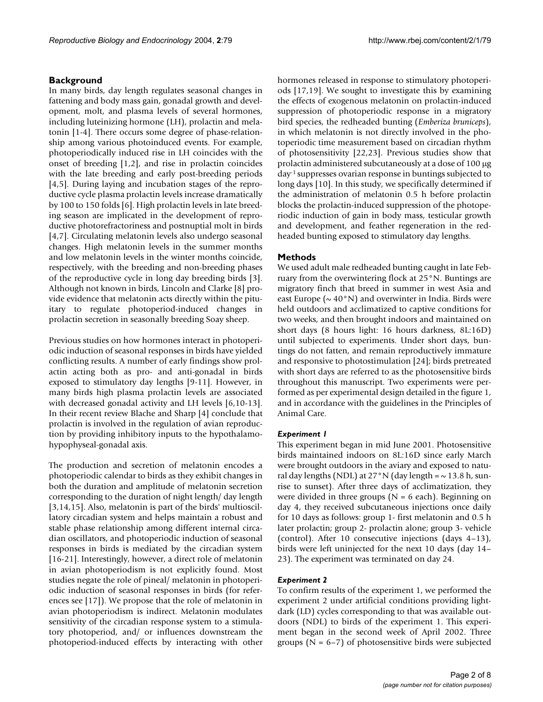# **Background**

In many birds, day length regulates seasonal changes in fattening and body mass gain, gonadal growth and development, molt, and plasma levels of several hormones, including luteinizing hormone (LH), prolactin and melatonin [1-4]. There occurs some degree of phase-relationship among various photoinduced events. For example, photoperiodically induced rise in LH coincides with the onset of breeding [1,2], and rise in prolactin coincides with the late breeding and early post-breeding periods [4[,5\]](#page-6-0). During laying and incubation stages of the reproductive cycle plasma prolactin levels increase dramatically by 100 to 150 folds [6]. High prolactin levels in late breeding season are implicated in the development of reproductive photorefractoriness and postnuptial molt in birds [4,7]. Circulating melatonin levels also undergo seasonal changes. High melatonin levels in the summer months and low melatonin levels in the winter months coincide, respectively, with the breeding and non-breeding phases of the reproductive cycle in long day breeding birds [3]. Although not known in birds, Lincoln and Clarke [8] provide evidence that melatonin acts directly within the pituitary to regulate photoperiod-induced changes in prolactin secretion in seasonally breeding Soay sheep.

Previous studies on how hormones interact in photoperiodic induction of seasonal responses in birds have yielded conflicting results. A number of early findings show prolactin acting both as pro- and anti-gonadal in birds exposed to stimulatory day lengths [9-11]. However, in many birds high plasma prolactin levels are associated with decreased gonadal activity and LH levels [6,10-13]. In their recent review Blache and Sharp [4] conclude that prolactin is involved in the regulation of avian reproduction by providing inhibitory inputs to the hypothalamohypophyseal-gonadal axis.

The production and secretion of melatonin encodes a photoperiodic calendar to birds as they exhibit changes in both the duration and amplitude of melatonin secretion corresponding to the duration of night length/ day length [3[,14](#page-6-1),15]. Also, melatonin is part of the birds' multioscillatory circadian system and helps maintain a robust and stable phase relationship among different internal circadian oscillators, and photoperiodic induction of seasonal responses in birds is mediated by the circadian system [16-21]. Interestingly, however, a direct role of melatonin in avian photoperiodism is not explicitly found. Most studies negate the role of pineal/ melatonin in photoperiodic induction of seasonal responses in birds (for references see [17]). We propose that the role of melatonin in avian photoperiodism is indirect. Melatonin modulates sensitivity of the circadian response system to a stimulatory photoperiod, and/ or influences downstream the photoperiod-induced effects by interacting with other hormones released in response to stimulatory photoperiods [17,19]. We sought to investigate this by examining the effects of exogenous melatonin on prolactin-induced suppression of photoperiodic response in a migratory bird species, the redheaded bunting (*Emberiza bruniceps*), in which melatonin is not directly involved in the photoperiodic time measurement based on circadian rhythm of photosensitivity [22,23]. Previous studies show that prolactin administered subcutaneously at a dose of 100 µg day-1 suppresses ovarian response in buntings subjected to long days [10]. In this study, we specifically determined if the administration of melatonin 0.5 h before prolactin blocks the prolactin-induced suppression of the photoperiodic induction of gain in body mass, testicular growth and development, and feather regeneration in the redheaded bunting exposed to stimulatory day lengths.

# **Methods**

We used adult male redheaded bunting caught in late February from the overwintering flock at 25°N. Buntings are migratory finch that breed in summer in west Asia and east Europe ( $\sim 40^{\circ}$ N) and overwinter in India. Birds were held outdoors and acclimatized to captive conditions for two weeks, and then brought indoors and maintained on short days (8 hours light: 16 hours darkness, 8L:16D) until subjected to experiments. Under short days, buntings do not fatten, and remain reproductively immature and responsive to photostimulation [24]; birds pretreated with short days are referred to as the photosensitive birds throughout this manuscript. Two experiments were performed as per experimental design detailed in the figure [1,](#page-2-0) and in accordance with the guidelines in the Principles of Animal Care.

#### *Experiment 1*

This experiment began in mid June 2001. Photosensitive birds maintained indoors on 8L:16D since early March were brought outdoors in the aviary and exposed to natural day lengths (NDL) at  $27°N$  (day length =  $\sim$  13.8 h, sunrise to sunset). After three days of acclimatization, they were divided in three groups ( $N = 6$  each). Beginning on day 4, they received subcutaneous injections once daily for 10 days as follows: group 1- first melatonin and 0.5 h later prolactin; group 2- prolactin alone; group 3- vehicle (control). After 10 consecutive injections (days 4–13), birds were left uninjected for the next 10 days (day 14– 23). The experiment was terminated on day 24.

#### *Experiment 2*

To confirm results of the experiment 1, we performed the experiment 2 under artificial conditions providing lightdark (LD) cycles corresponding to that was available outdoors (NDL) to birds of the experiment 1. This experiment began in the second week of April 2002. Three groups ( $N = 6-7$ ) of photosensitive birds were subjected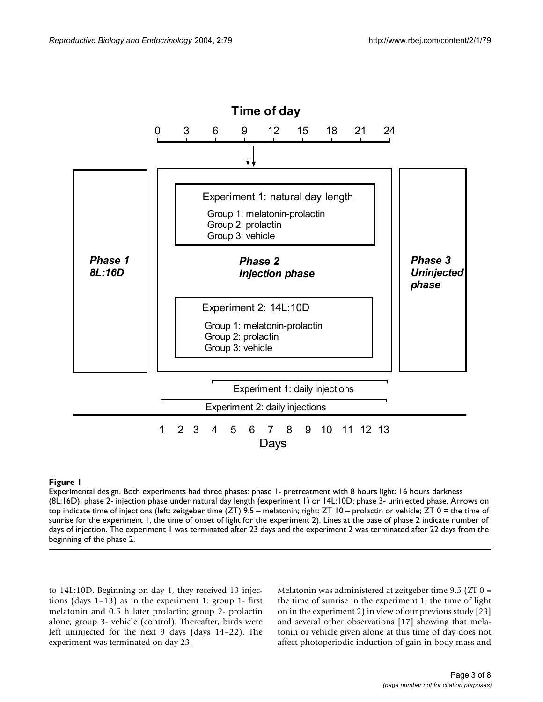<span id="page-2-0"></span>

#### **Figure 1**

Experimental design. Both experiments had three phases: phase 1- pretreatment with 8 hours light: 16 hours darkness (8L:16D); phase 2- injection phase under natural day length (experiment 1) or 14L:10D; phase 3- uninjected phase. Arrows on top indicate time of injections (left: zeitgeber time (ZT) 9.5 – melatonin; right: ZT 10 – prolactin or vehicle; ZT 0 = the time of sunrise for the experiment 1, the time of onset of light for the experiment 2). Lines at the base of phase 2 indicate number of days of injection. The experiment 1 was terminated after 23 days and the experiment 2 was terminated after 22 days from the beginning of the phase 2.

to 14L:10D. Beginning on day 1, they received 13 injections (days 1–13) as in the experiment 1: group 1- first melatonin and 0.5 h later prolactin; group 2- prolactin alone; group 3- vehicle (control). Thereafter, birds were left uninjected for the next 9 days (days 14–22). The experiment was terminated on day 23.

Melatonin was administered at zeitgeber time 9.5 (ZT 0 = the time of sunrise in the experiment 1; the time of light on in the experiment 2) in view of our previous study [23] and several other observations [17] showing that melatonin or vehicle given alone at this time of day does not affect photoperiodic induction of gain in body mass and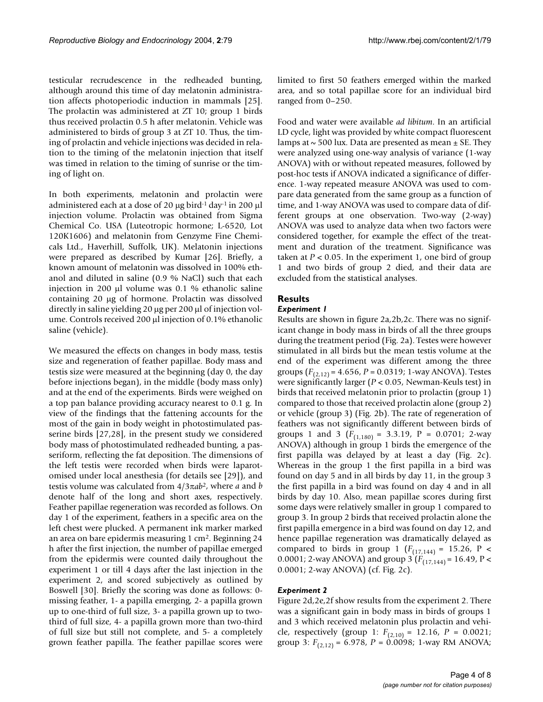testicular recrudescence in the redheaded bunting, although around this time of day melatonin administration affects photoperiodic induction in mammals [\[25](#page-7-0)]. The prolactin was administered at ZT 10; group 1 birds thus received prolactin 0.5 h after melatonin. Vehicle was administered to birds of group 3 at ZT 10. Thus, the timing of prolactin and vehicle injections was decided in relation to the timing of the melatonin injection that itself was timed in relation to the timing of sunrise or the timing of light on.

In both experiments, melatonin and prolactin were administered each at a dose of 20  $\mu$ g bird<sup>-1</sup> day<sup>-1</sup> in 200  $\mu$ l injection volume. Prolactin was obtained from Sigma Chemical Co. USA (Luteotropic hormone; L-6520, Lot 120K1606) and melatonin from Genzyme Fine Chemicals Ltd., Haverhill, Suffolk, UK). Melatonin injections were prepared as described by Kumar [26]. Briefly, a known amount of melatonin was dissolved in 100% ethanol and diluted in saline (0.9 % NaCl) such that each injection in 200 µl volume was 0.1 % ethanolic saline containing 20 µg of hormone. Prolactin was dissolved directly in saline yielding 20 µg per 200 µl of injection volume. Controls received 200 µl injection of 0.1% ethanolic saline (vehicle).

We measured the effects on changes in body mass, testis size and regeneration of feather papillae. Body mass and testis size were measured at the beginning (day 0, the day before injections began), in the middle (body mass only) and at the end of the experiments. Birds were weighed on a top pan balance providing accuracy nearest to 0.1 g. In view of the findings that the fattening accounts for the most of the gain in body weight in photostimulated passerine birds [27,28], in the present study we considered body mass of photostimulated redheaded bunting, a passeriform, reflecting the fat deposition. The dimensions of the left testis were recorded when birds were laparotomised under local anesthesia (for details see [\[29](#page-7-1)]), and testis volume was calculated from 4/3π*ab*2, where *a* and *b* denote half of the long and short axes, respectively. Feather papillae regeneration was recorded as follows. On day 1 of the experiment, feathers in a specific area on the left chest were plucked. A permanent ink marker marked an area on bare epidermis measuring 1 cm2. Beginning 24 h after the first injection, the number of papillae emerged from the epidermis were counted daily throughout the experiment 1 or till 4 days after the last injection in the experiment 2, and scored subjectively as outlined by Boswell [30]. Briefly the scoring was done as follows: 0 missing feather, 1- a papilla emerging, 2- a papilla grown up to one-third of full size, 3- a papilla grown up to twothird of full size, 4- a papilla grown more than two-third of full size but still not complete, and 5- a completely grown feather papilla. The feather papillae scores were

limited to first 50 feathers emerged within the marked area, and so total papillae score for an individual bird ranged from 0–250.

Food and water were available *ad libitum*. In an artificial LD cycle, light was provided by white compact fluorescent lamps at  $\sim$  500 lux. Data are presented as mean  $\pm$  SE. They were analyzed using one-way analysis of variance (1-way ANOVA) with or without repeated measures, followed by post-hoc tests if ANOVA indicated a significance of difference. 1-way repeated measure ANOVA was used to compare data generated from the same group as a function of time, and 1-way ANOVA was used to compare data of different groups at one observation. Two-way (2-way) ANOVA was used to analyze data when two factors were considered together, for example the effect of the treatment and duration of the treatment. Significance was taken at  $P < 0.05$ . In the experiment 1, one bird of group 1 and two birds of group 2 died, and their data are excluded from the statistical analyses.

# **Results**

# *Experiment 1*

Results are shown in figure [2](#page-4-0)a,2b,2c. There was no significant change in body mass in birds of all the three groups during the treatment period (Fig. [2a](#page-4-0)). Testes were however stimulated in all birds but the mean testis volume at the end of the experiment was different among the three groups (*F*(2,12) = 4.656, *P* = 0.0319; 1-way ANOVA). Testes were significantly larger (*P* < 0.05, Newman-Keuls test) in birds that received melatonin prior to prolactin (group 1) compared to those that received prolactin alone (group 2) or vehicle (group 3) (Fig. [2](#page-4-0)b). The rate of regeneration of feathers was not significantly different between birds of groups 1 and 3  $(F_{(1,180)} = 3.3.19, P = 0.0701; 2-way$ ANOVA) although in group 1 birds the emergence of the first papilla was delayed by at least a day (Fig. [2](#page-4-0)c). Whereas in the group 1 the first papilla in a bird was found on day 5 and in all birds by day 11, in the group 3 the first papilla in a bird was found on day 4 and in all birds by day 10. Also, mean papillae scores during first some days were relatively smaller in group 1 compared to group 3. In group 2 birds that received prolactin alone the first papilla emergence in a bird was found on day 12, and hence papillae regeneration was dramatically delayed as compared to birds in group 1 ( $F_{(17,144)} = 15.26$ , P < 0.0001; 2-way ANOVA) and group 3 (*F*(17,144) = 16.49, P < 0.0001; 2-way ANOVA) (cf. Fig. [2c](#page-4-0)).

# *Experiment 2*

Figure [2d](#page-4-0),2e,2f show results from the experiment 2. There was a significant gain in body mass in birds of groups 1 and 3 which received melatonin plus prolactin and vehicle, respectively (group 1:  $F_{(2,10)} = 12.16$ ,  $P = 0.0021$ ; group 3:  $F_{(2,12)} = 6.978$ ,  $P = 0.0098$ ; 1-way RM ANOVA;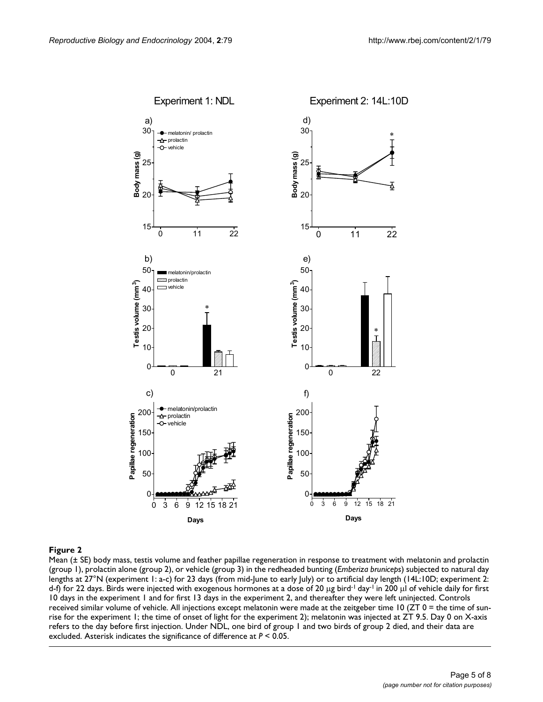<span id="page-4-0"></span>

#### Figure 2 and 2008 and 2008 and 2008 and 2008 and 2008 and 2008 and 2008 and 2008 and 2008 and 2008 and 2008 an

Mean (± SE) body mass, testis volume and feather papillae regeneration in response to treatment with melatonin and prolactin (group 1), prolactin alone (group 2), or vehicle (group 3) in the redheaded bunting (*Emberiza bruniceps*) subjected to natural day lengths at 27°N (experiment 1: a-c) for 23 days (from mid-June to early July) or to artificial day length (14L:10D; experiment 2: d-f) for 22 days. Birds were injected with exogenous hormones at a dose of 20 µg bird<sup>-1</sup> day<sup>-1</sup> in 200 µl of vehicle daily for first 10 days in the experiment 1 and for first 13 days in the experiment 2, and thereafter they were left uninjected. Controls received similar volume of vehicle. All injections except melatonin were made at the zeitgeber time  $10$  (ZT 0 = the time of sunrise for the experiment 1; the time of onset of light for the experiment 2); melatonin was injected at ZT 9.5. Day 0 on X-axis refers to the day before first injection. Under NDL, one bird of group 1 and two birds of group 2 died, and their data are excluded. Asterisk indicates the significance of difference at *P* < 0.05.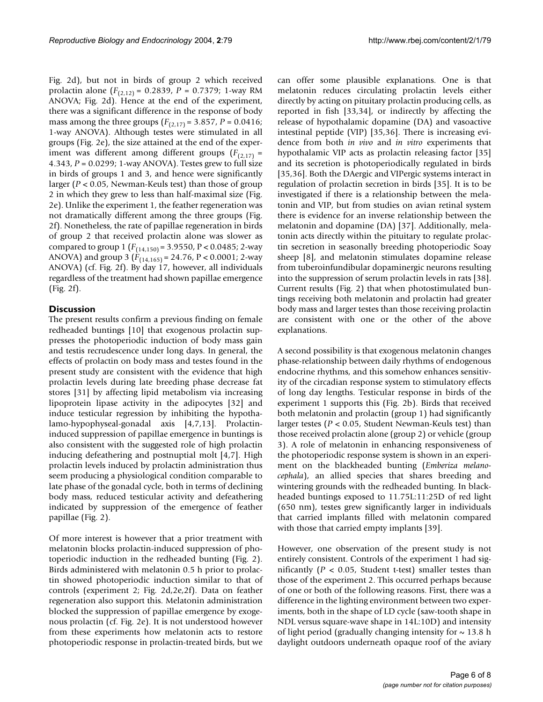Fig. [2d](#page-4-0)), but not in birds of group 2 which received prolactin alone (*F*(2,12) = 0.2839, *P* = 0.7379; 1-way RM ANOVA; Fig. [2d](#page-4-0)). Hence at the end of the experiment, there was a significant difference in the response of body mass among the three groups  $(F_{(2,17)} = 3.857, P = 0.0416;$ 1-way ANOVA). Although testes were stimulated in all groups (Fig. [2](#page-4-0)e), the size attained at the end of the experiment was different among different groups  $(F_{(2,17)} =$ 4.343, *P* = 0.0299; 1-way ANOVA). Testes grew to full size in birds of groups 1 and 3, and hence were significantly larger (*P* < 0.05, Newman-Keuls test) than those of group 2 in which they grew to less than half-maximal size (Fig. [2e](#page-4-0)). Unlike the experiment 1, the feather regeneration was not dramatically different among the three groups (Fig. [2f](#page-4-0)). Nonetheless, the rate of papillae regeneration in birds of group 2 that received prolactin alone was slower as compared to group 1 (*F*(14,150) = 3.9550, P < 0.0485; 2-way ANOVA) and group 3 ( $\hat{F}_{(14,165)} = 24.76$ , P < 0.0001; 2-way ANOVA) (cf. Fig. [2](#page-4-0)f). By day 17, however, all individuals regardless of the treatment had shown papillae emergence (Fig. [2](#page-4-0)f).

# **Discussion**

The present results confirm a previous finding on female redheaded buntings [10] that exogenous prolactin suppresses the photoperiodic induction of body mass gain and testis recrudescence under long days. In general, the effects of prolactin on body mass and testes found in the present study are consistent with the evidence that high prolactin levels during late breeding phase decrease fat stores [31] by affecting lipid metabolism via increasing lipoprotein lipase activity in the adipocytes [32] and induce testicular regression by inhibiting the hypothalamo-hypophyseal-gonadal axis [4,7,13]. Prolactininduced suppression of papillae emergence in buntings is also consistent with the suggested role of high prolactin inducing defeathering and postnuptial molt [4,7]. High prolactin levels induced by prolactin administration thus seem producing a physiological condition comparable to late phase of the gonadal cycle, both in terms of declining body mass, reduced testicular activity and defeathering indicated by suppression of the emergence of feather papillae (Fig. [2](#page-4-0)).

Of more interest is however that a prior treatment with melatonin blocks prolactin-induced suppression of photoperiodic induction in the redheaded bunting (Fig. [2\)](#page-4-0). Birds administered with melatonin 0.5 h prior to prolactin showed photoperiodic induction similar to that of controls (experiment 2; Fig. [2d](#page-4-0),2e,2f). Data on feather regeneration also support this. Melatonin administration blocked the suppression of papillae emergence by exogenous prolactin (cf. Fig. [2](#page-4-0)e). It is not understood however from these experiments how melatonin acts to restore photoperiodic response in prolactin-treated birds, but we can offer some plausible explanations. One is that melatonin reduces circulating prolactin levels either directly by acting on pituitary prolactin producing cells, as reported in fish [33,34], or indirectly by affecting the release of hypothalamic dopamine (DA) and vasoactive intestinal peptide (VIP) [35,36]. There is increasing evidence from both *in vivo* and *in vitro* experiments that hypothalamic VIP acts as prolactin releasing factor [35] and its secretion is photoperiodically regulated in birds [35,36]. Both the DAergic and VIPergic systems interact in regulation of prolactin secretion in birds [35]. It is to be investigated if there is a relationship between the melatonin and VIP, but from studies on avian retinal system there is evidence for an inverse relationship between the melatonin and dopamine (DA) [37]. Additionally, melatonin acts directly within the pituitary to regulate prolactin secretion in seasonally breeding photoperiodic Soay sheep [8], and melatonin stimulates dopamine release from tuberoinfundibular dopaminergic neurons resulting into the suppression of serum prolactin levels in rats [38]. Current results (Fig. [2\)](#page-4-0) that when photostimulated buntings receiving both melatonin and prolactin had greater body mass and larger testes than those receiving prolactin are consistent with one or the other of the above explanations.

A second possibility is that exogenous melatonin changes phase-relationship between daily rhythms of endogenous endocrine rhythms, and this somehow enhances sensitivity of the circadian response system to stimulatory effects of long day lengths. Testicular response in birds of the experiment 1 supports this (Fig. [2](#page-4-0)b). Birds that received both melatonin and prolactin (group 1) had significantly larger testes (*P* < 0.05, Student Newman-Keuls test) than those received prolactin alone (group 2) or vehicle (group 3). A role of melatonin in enhancing responsiveness of the photoperiodic response system is shown in an experiment on the blackheaded bunting (*Emberiza melanocephala*), an allied species that shares breeding and wintering grounds with the redheaded bunting. In blackheaded buntings exposed to 11.75L:11:25D of red light (650 nm), testes grew significantly larger in individuals that carried implants filled with melatonin compared with those that carried empty implants [39].

However, one observation of the present study is not entirely consistent. Controls of the experiment 1 had significantly ( $P < 0.05$ , Student t-test) smaller testes than those of the experiment 2. This occurred perhaps because of one or both of the following reasons. First, there was a difference in the lighting environment between two experiments, both in the shape of LD cycle (saw-tooth shape in NDL versus square-wave shape in 14L:10D) and intensity of light period (gradually changing intensity for  $\sim$  13.8 h daylight outdoors underneath opaque roof of the aviary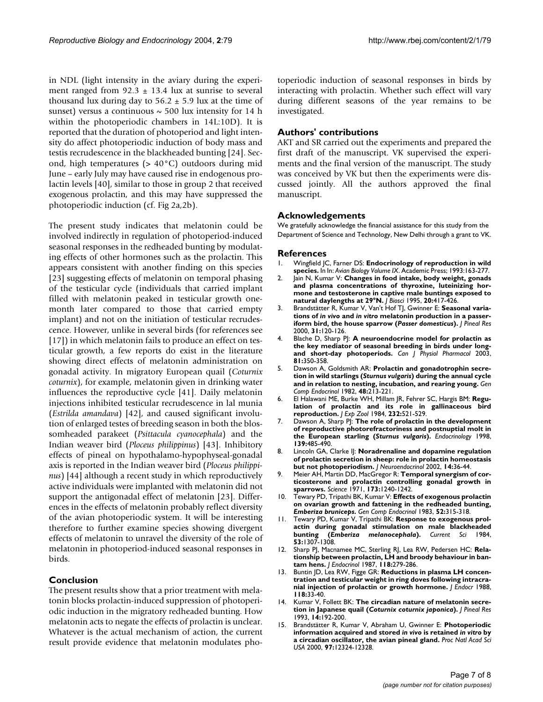in NDL (light intensity in the aviary during the experiment ranged from  $92.3 \pm 13.4$  lux at sunrise to several thousand lux during day to  $56.2 \pm 5.9$  lux at the time of sunset) versus a continuous  $\sim$  500 lux intensity for 14 h within the photoperiodic chambers in 14L:10D). It is reported that the duration of photoperiod and light intensity do affect photoperiodic induction of body mass and testis recrudescence in the blackheaded bunting [24]. Second, high temperatures (> 40°C) outdoors during mid June – early July may have caused rise in endogenous prolactin levels [40], similar to those in group 2 that received exogenous prolactin, and this may have suppressed the photoperiodic induction (cf. Fig [2](#page-4-0)a,2b).

The present study indicates that melatonin could be involved indirectly in regulation of photoperiod-induced seasonal responses in the redheaded bunting by modulating effects of other hormones such as the prolactin. This appears consistent with another finding on this species [23] suggesting effects of melatonin on temporal phasing of the testicular cycle (individuals that carried implant filled with melatonin peaked in testicular growth onemonth later compared to those that carried empty implant) and not on the initiation of testicular recrudescence. However, unlike in several birds (for references see [17]) in which melatonin fails to produce an effect on testicular growth, a few reports do exist in the literature showing direct effects of melatonin administration on gonadal activity. In migratory European quail (*Coturnix coturnix*), for example, melatonin given in drinking water influences the reproductive cycle [41]. Daily melatonin injections inhibited testicular recrudescence in lal munia (*Estrilda amandava*) [42], and caused significant involution of enlarged testes of breeding season in both the blossomheaded parakeet (*Psittacula cyanocephala*) and the Indian weaver bird (*Ploceus philippinus*) [43]. Inhibitory effects of pineal on hypothalamo-hypophyseal-gonadal axis is reported in the Indian weaver bird (*Ploceus philippinus*) [44] although a recent study in which reproductively active individuals were implanted with melatonin did not support the antigonadal effect of melatonin [23]. Differences in the effects of melatonin probably reflect diversity of the avian photoperiodic system. It will be interesting therefore to further examine species showing divergent effects of melatonin to unravel the diversity of the role of melatonin in photoperiod-induced seasonal responses in birds.

#### **Conclusion**

The present results show that a prior treatment with melatonin blocks prolactin-induced suppression of photoperiodic induction in the migratory redheaded bunting. How melatonin acts to negate the effects of prolactin is unclear. Whatever is the actual mechanism of action, the current result provide evidence that melatonin modulates photoperiodic induction of seasonal responses in birds by interacting with prolactin. Whether such effect will vary during different seasons of the year remains to be investigated.

#### **Authors' contributions**

AKT and SR carried out the experiments and prepared the first draft of the manuscript. VK supervised the experiments and the final version of the manuscript. The study was conceived by VK but then the experiments were discussed jointly. All the authors approved the final manuscript.

#### **Acknowledgements**

We gratefully acknowledge the financial assistance for this study from the Department of Science and Technology, New Delhi through a grant to VK.

#### **References**

- 1. Wingfield JC, Farner DS: **Endocrinology of reproduction in wild species.** In In: *Avian Biology Volume IX*. Academic Press; 1993:163-277.
- 2. Jain N, Kumar V: **Changes in food intake, body weight, gonads and plasma concentrations of thyroxine, luteinizing hormone and testosterone in captive male buntings exposed to natural daylengths at 29°N.** *J Biosci* 1995, **20:**417-426.
- 3. Brandstätter R, Kumar V, Van't Hof TJ, Gwinner E: **Seasonal variations of** *in vivo* **and** *in vitro* **melatonin production in a passeriform bird, the house sparrow (***Passer domesticus***).** *J Pineal Res* 2000, **31:**120-126.
- 4. Blache D, Sharp PJ: **[A neuroendocrine model for prolactin as](http://www.ncbi.nlm.nih.gov/entrez/query.fcgi?cmd=Retrieve&db=PubMed&dopt=Abstract&list_uids=12769227) [the key mediator of seasonal breeding in birds under long](http://www.ncbi.nlm.nih.gov/entrez/query.fcgi?cmd=Retrieve&db=PubMed&dopt=Abstract&list_uids=12769227)[and short-day photoperiods.](http://www.ncbi.nlm.nih.gov/entrez/query.fcgi?cmd=Retrieve&db=PubMed&dopt=Abstract&list_uids=12769227)** *Can J Physiol Pharmacol* 2003, **81:**350-358.
- <span id="page-6-0"></span>5. Dawson A, Goldsmith AR: **Prolactin and gonadotrophin secretion in wild starlings (***Sturnus vulgaris***[\) during the annual cycle](http://www.ncbi.nlm.nih.gov/entrez/query.fcgi?cmd=Retrieve&db=PubMed&dopt=Abstract&list_uids=6814982) [and in relation to nesting, incubation, and rearing young.](http://www.ncbi.nlm.nih.gov/entrez/query.fcgi?cmd=Retrieve&db=PubMed&dopt=Abstract&list_uids=6814982)** *Gen Comp Endocrinol* 1982, **48:**213-221.
- 6. El Halawani ME, Burke WH, Millam JR, Fehrer SC, Hargis BM: **[Regu](http://www.ncbi.nlm.nih.gov/entrez/query.fcgi?cmd=Retrieve&db=PubMed&dopt=Abstract&list_uids=6240524)[lation of prolactin and its role in gallinaceous bird](http://www.ncbi.nlm.nih.gov/entrez/query.fcgi?cmd=Retrieve&db=PubMed&dopt=Abstract&list_uids=6240524) [reproduction.](http://www.ncbi.nlm.nih.gov/entrez/query.fcgi?cmd=Retrieve&db=PubMed&dopt=Abstract&list_uids=6240524)** *J Exp Zool* 1984, **232:**521-529.
- 7. Dawson A, Sharp PJ: **The role of prolactin in the development of reproductive photorefractoriness and postnuptial molt in the European starling (***Sturnus vulgaris***[\).](http://www.ncbi.nlm.nih.gov/entrez/query.fcgi?cmd=Retrieve&db=PubMed&dopt=Abstract&list_uids=9449615)** *Endocrinology* 1998, **139:**485-490.
- 8. Lincoln GA, Clarke II: **[Noradrenaline and dopamine regulation](http://www.ncbi.nlm.nih.gov/entrez/query.fcgi?cmd=Retrieve&db=PubMed&dopt=Abstract&list_uids=11903811) [of prolactin secretion in sheep: role in prolactin homeostasis](http://www.ncbi.nlm.nih.gov/entrez/query.fcgi?cmd=Retrieve&db=PubMed&dopt=Abstract&list_uids=11903811) [but not photoperiodism.](http://www.ncbi.nlm.nih.gov/entrez/query.fcgi?cmd=Retrieve&db=PubMed&dopt=Abstract&list_uids=11903811)** *J Neuroendocrinol* 2002, **14:**36-44.
- 9. Meier AH, Martin DD, MacGregor R: **[Temporal synergism of cor](http://www.ncbi.nlm.nih.gov/entrez/query.fcgi?cmd=Retrieve&db=PubMed&dopt=Abstract&list_uids=5111566)[ticosterone and prolactin controlling gonadal growth in](http://www.ncbi.nlm.nih.gov/entrez/query.fcgi?cmd=Retrieve&db=PubMed&dopt=Abstract&list_uids=5111566) [sparrows.](http://www.ncbi.nlm.nih.gov/entrez/query.fcgi?cmd=Retrieve&db=PubMed&dopt=Abstract&list_uids=5111566)** *Science* 1971, **173:**1240-1242.
- 10. Tewary PD, Tripathi BK, Kumar V: **Effects of exogenous prolactin on ovarian growth and fattening in the redheaded bunting,** *Emberiza bruniceps***[.](http://www.ncbi.nlm.nih.gov/entrez/query.fcgi?cmd=Retrieve&db=PubMed&dopt=Abstract&list_uids=6654040)** *Gen Comp Endocrinol* 1983, **52:**315-318.
- 11. Tewary PD, Kumar V, Tripathi BK: **Response to exogenous prolactin during gonadal stimulation on male blackheaded bunting (***Emberiza melanocephala***).** *Current Sci* 1984, **53:**1307-1308.
- 12. Sharp PJ, Macnamee MC, Sterling RJ, Lea RW, Pedersen HC: **Relationship between prolactin, LH and broody behaviour in bantam hens.** *J Endocrinol* 1987, **118:**279-286.
- 13. Buntin JD, Lea RW, Figge GR: **[Reductions in plasma LH concen](http://www.ncbi.nlm.nih.gov/entrez/query.fcgi?cmd=Retrieve&db=PubMed&dopt=Abstract&list_uids=3411283)[tration and testicular weight in ring doves following intracra](http://www.ncbi.nlm.nih.gov/entrez/query.fcgi?cmd=Retrieve&db=PubMed&dopt=Abstract&list_uids=3411283)[nial injection of prolactin or growth hormone.](http://www.ncbi.nlm.nih.gov/entrez/query.fcgi?cmd=Retrieve&db=PubMed&dopt=Abstract&list_uids=3411283)** *J Endocr* 1988, **118:**33-40.
- <span id="page-6-1"></span>14. Kumar V, Follett BK: **The circadian nature of melatonin secretion in Japanese quail (***Coturnix coturnix japonica***[\).](http://www.ncbi.nlm.nih.gov/entrez/query.fcgi?cmd=Retrieve&db=PubMed&dopt=Abstract&list_uids=8345447)** *J Pineal Res* 1993, **14:**192-200.
- 15. Brandstätter R, Kumar V, Abraham U, Gwinner E: **Photoperiodic information acquired and stored** *in vivo* **is retained** *in vitro* **[by](http://www.ncbi.nlm.nih.gov/entrez/query.fcgi?cmd=Retrieve&db=PubMed&dopt=Abstract&list_uids=11005840) [a circadian oscillator, the avian pineal gland.](http://www.ncbi.nlm.nih.gov/entrez/query.fcgi?cmd=Retrieve&db=PubMed&dopt=Abstract&list_uids=11005840)** *Proc Natl Acad Sci USA* 2000, **97:**12324-12328.